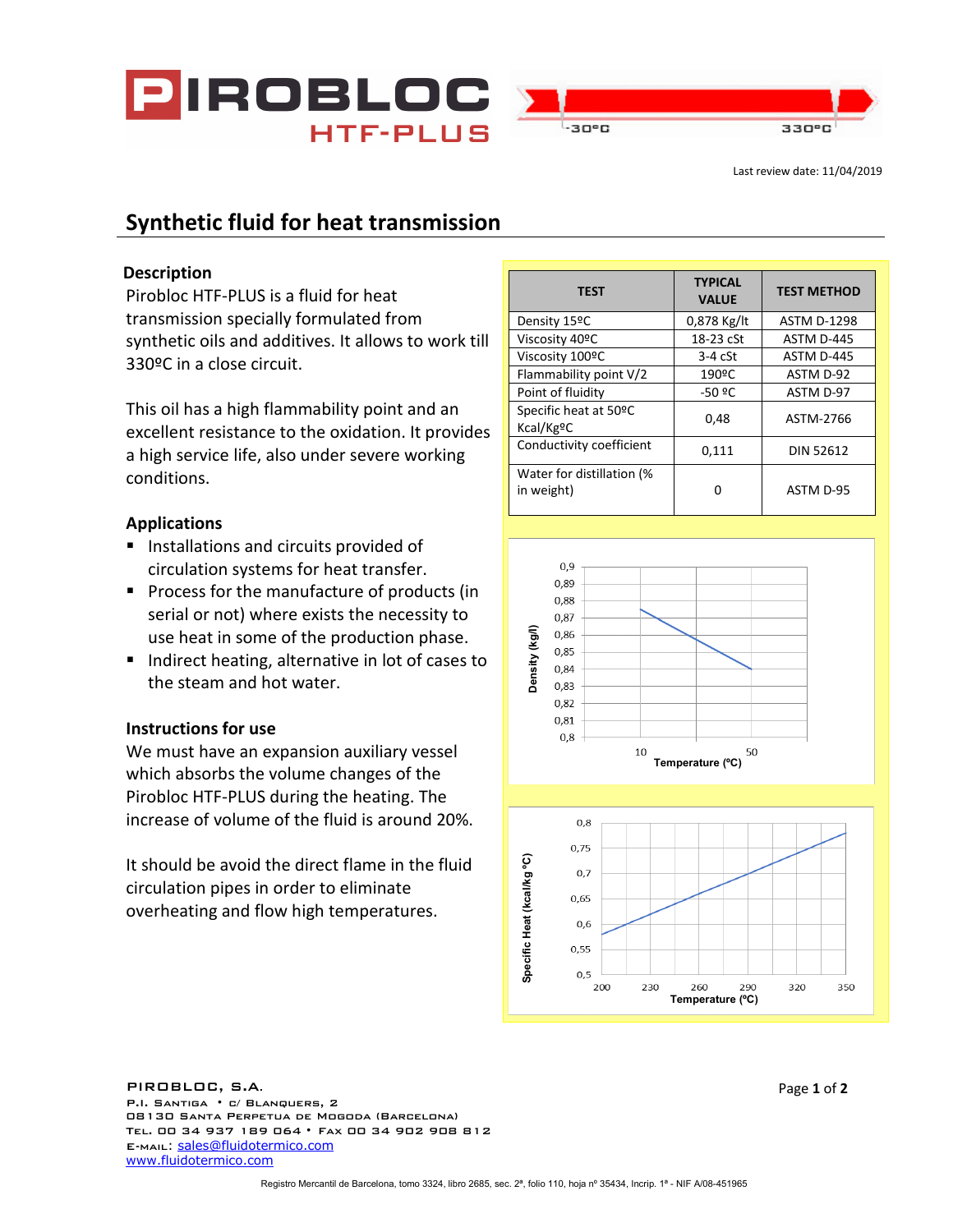

# **Synthetic fluid for heat transmission**

## **Description**

Pirobloc HTF-PLUS is a fluid for heat transmission specially formulated from synthetic oils and additives. It allows to work till 330ºC in a close circuit.

This oil has a high flammability point and an excellent resistance to the oxidation. It provides a high service life, also under severe working conditions.

# **Applications**

- **Installations and circuits provided of** circulation systems for heat transfer.
- **Process for the manufacture of products (in** serial or not) where exists the necessity to use heat in some of the production phase.
- Indirect heating, alternative in lot of cases to the steam and hot water.

# **Instructions for use**

We must have an expansion auxiliary vessel which absorbs the volume changes of the Pirobloc HTF-PLUS during the heating. The increase of volume of the fluid is around 20%.

It should be avoid the direct flame in the fluid circulation pipes in order to eliminate overheating and flow high temperatures.

| <b>TEST</b>                             | <b>TYPICAL</b><br><b>VALUE</b> | <b>TEST METHOD</b> |
|-----------------------------------------|--------------------------------|--------------------|
| Density 15ºC                            | 0,878 Kg/lt                    | <b>ASTM D-1298</b> |
| Viscosity 40ºC                          | 18-23 cSt                      | ASTM D-445         |
| Viscosity 100ºC                         | $3-4$ $c$ St                   | ASTM D-445         |
| Flammability point V/2                  | 190ºC                          | ASTM D-92          |
| Point of fluidity                       | -50 ºC                         | ASTM D-97          |
| Specific heat at 50°C<br>Kcal/KgºC      | 0,48                           | ASTM-2766          |
| Conductivity coefficient                | 0,111                          | <b>DIN 52612</b>   |
| Water for distillation (%<br>in weight) | ი                              | ASTM D-95          |



#### Specific Heat (kcal/kg °C) **Specífic Heat (kcal/kg ºC)** 0,65  $0,6$ 0,55  $0,5$ 200 230 290 320 350 260 **Temperature (ºC)**